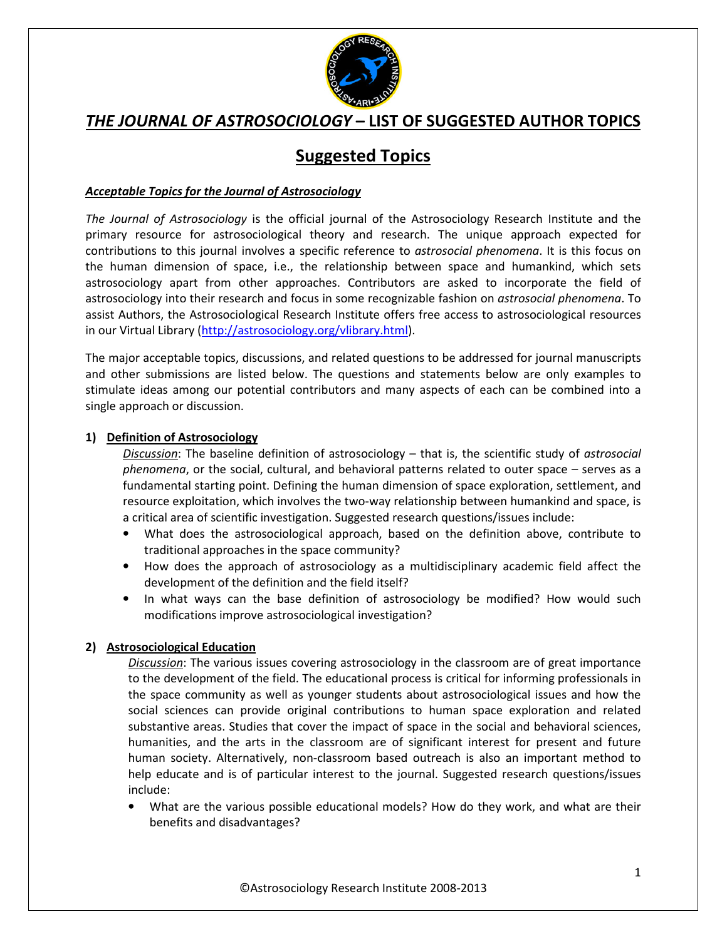

# **Suggested Topics**

### *Acceptable Topics for the Journal of Astrosociology*

*The Journal of Astrosociology* is the official journal of the Astrosociology Research Institute and the primary resource for astrosociological theory and research. The unique approach expected for contributions to this journal involves a specific reference to *astrosocial phenomena*. It is this focus on the human dimension of space, i.e., the relationship between space and humankind, which sets astrosociology apart from other approaches. Contributors are asked to incorporate the field of astrosociology into their research and focus in some recognizable fashion on *astrosocial phenomena*. To assist Authors, the Astrosociological Research Institute offers free access to astrosociological resources in our Virtual Library (http://astrosociology.org/vlibrary.html).

The major acceptable topics, discussions, and related questions to be addressed for journal manuscripts and other submissions are listed below. The questions and statements below are only examples to stimulate ideas among our potential contributors and many aspects of each can be combined into a single approach or discussion.

#### **1) Definition of Astrosociology**

*Discussion*: The baseline definition of astrosociology – that is, the scientific study of *astrosocial phenomena*, or the social, cultural, and behavioral patterns related to outer space – serves as a fundamental starting point. Defining the human dimension of space exploration, settlement, and resource exploitation, which involves the two-way relationship between humankind and space, is a critical area of scientific investigation. Suggested research questions/issues include:

- What does the astrosociological approach, based on the definition above, contribute to traditional approaches in the space community?
- How does the approach of astrosociology as a multidisciplinary academic field affect the development of the definition and the field itself?
- In what ways can the base definition of astrosociology be modified? How would such modifications improve astrosociological investigation?

#### **2) Astrosociological Education**

*Discussion*: The various issues covering astrosociology in the classroom are of great importance to the development of the field. The educational process is critical for informing professionals in the space community as well as younger students about astrosociological issues and how the social sciences can provide original contributions to human space exploration and related substantive areas. Studies that cover the impact of space in the social and behavioral sciences, humanities, and the arts in the classroom are of significant interest for present and future human society. Alternatively, non-classroom based outreach is also an important method to help educate and is of particular interest to the journal. Suggested research questions/issues include:

• What are the various possible educational models? How do they work, and what are their benefits and disadvantages?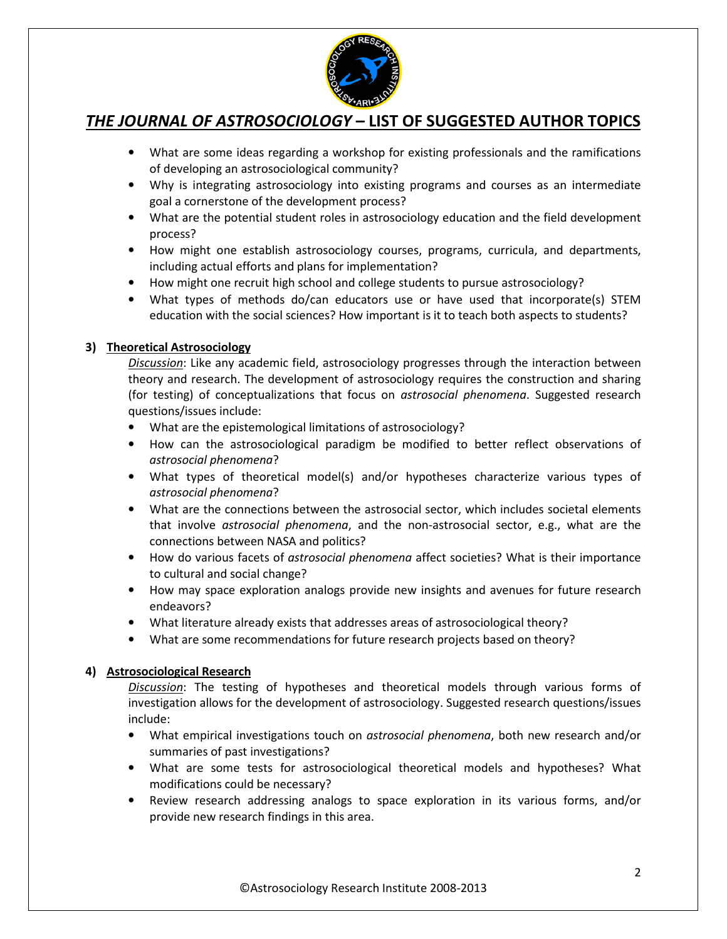

- What are some ideas regarding a workshop for existing professionals and the ramifications of developing an astrosociological community?
- Why is integrating astrosociology into existing programs and courses as an intermediate goal a cornerstone of the development process?
- What are the potential student roles in astrosociology education and the field development process?
- How might one establish astrosociology courses, programs, curricula, and departments, including actual efforts and plans for implementation?
- How might one recruit high school and college students to pursue astrosociology?
- What types of methods do/can educators use or have used that incorporate(s) STEM education with the social sciences? How important is it to teach both aspects to students?

### **3) Theoretical Astrosociology**

*Discussion*: Like any academic field, astrosociology progresses through the interaction between theory and research. The development of astrosociology requires the construction and sharing (for testing) of conceptualizations that focus on *astrosocial phenomena*. Suggested research questions/issues include:

- What are the epistemological limitations of astrosociology?
- How can the astrosociological paradigm be modified to better reflect observations of *astrosocial phenomena*?
- What types of theoretical model(s) and/or hypotheses characterize various types of *astrosocial phenomena*?
- What are the connections between the astrosocial sector, which includes societal elements that involve *astrosocial phenomena*, and the non-astrosocial sector, e.g., what are the connections between NASA and politics?
- How do various facets of *astrosocial phenomena* affect societies? What is their importance to cultural and social change?
- How may space exploration analogs provide new insights and avenues for future research endeavors?
- What literature already exists that addresses areas of astrosociological theory?
- What are some recommendations for future research projects based on theory?

### **4) Astrosociological Research**

*Discussion*: The testing of hypotheses and theoretical models through various forms of investigation allows for the development of astrosociology. Suggested research questions/issues include:

- What empirical investigations touch on *astrosocial phenomena*, both new research and/or summaries of past investigations?
- What are some tests for astrosociological theoretical models and hypotheses? What modifications could be necessary?
- Review research addressing analogs to space exploration in its various forms, and/or provide new research findings in this area.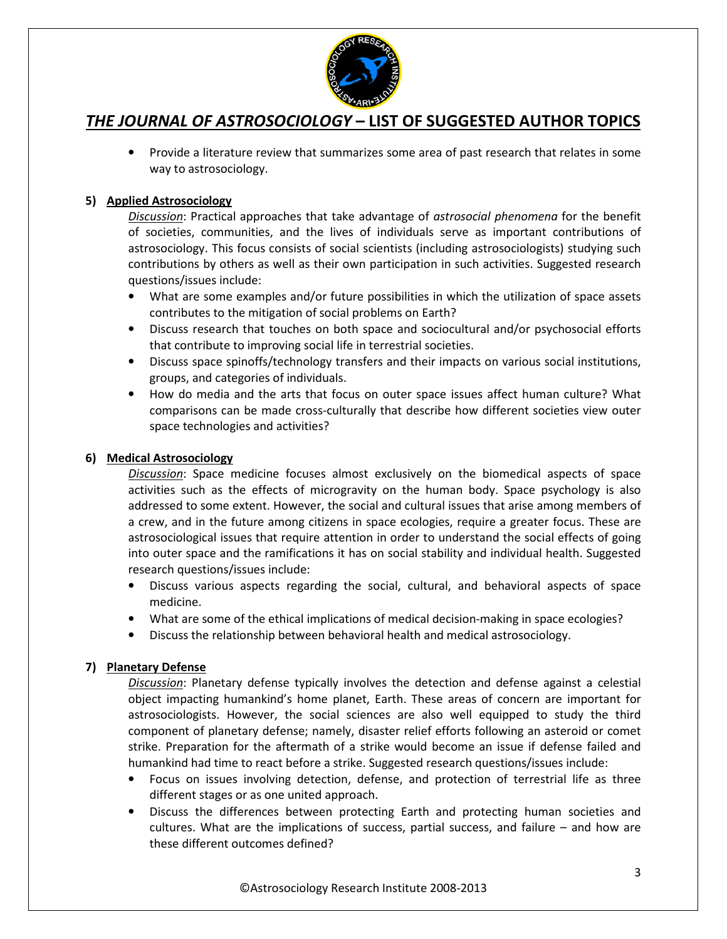

• Provide a literature review that summarizes some area of past research that relates in some way to astrosociology.

### **5) Applied Astrosociology**

*Discussion*: Practical approaches that take advantage of *astrosocial phenomena* for the benefit of societies, communities, and the lives of individuals serve as important contributions of astrosociology. This focus consists of social scientists (including astrosociologists) studying such contributions by others as well as their own participation in such activities. Suggested research questions/issues include:

- What are some examples and/or future possibilities in which the utilization of space assets contributes to the mitigation of social problems on Earth?
- Discuss research that touches on both space and sociocultural and/or psychosocial efforts that contribute to improving social life in terrestrial societies.
- Discuss space spinoffs/technology transfers and their impacts on various social institutions, groups, and categories of individuals.
- How do media and the arts that focus on outer space issues affect human culture? What comparisons can be made cross-culturally that describe how different societies view outer space technologies and activities?

### **6) Medical Astrosociology**

*Discussion*: Space medicine focuses almost exclusively on the biomedical aspects of space activities such as the effects of microgravity on the human body. Space psychology is also addressed to some extent. However, the social and cultural issues that arise among members of a crew, and in the future among citizens in space ecologies, require a greater focus. These are astrosociological issues that require attention in order to understand the social effects of going into outer space and the ramifications it has on social stability and individual health. Suggested research questions/issues include:

- Discuss various aspects regarding the social, cultural, and behavioral aspects of space medicine.
- What are some of the ethical implications of medical decision-making in space ecologies?
- Discuss the relationship between behavioral health and medical astrosociology.

### **7) Planetary Defense**

*Discussion*: Planetary defense typically involves the detection and defense against a celestial object impacting humankind's home planet, Earth. These areas of concern are important for astrosociologists. However, the social sciences are also well equipped to study the third component of planetary defense; namely, disaster relief efforts following an asteroid or comet strike. Preparation for the aftermath of a strike would become an issue if defense failed and humankind had time to react before a strike. Suggested research questions/issues include:

- Focus on issues involving detection, defense, and protection of terrestrial life as three different stages or as one united approach.
- Discuss the differences between protecting Earth and protecting human societies and cultures. What are the implications of success, partial success, and failure – and how are these different outcomes defined?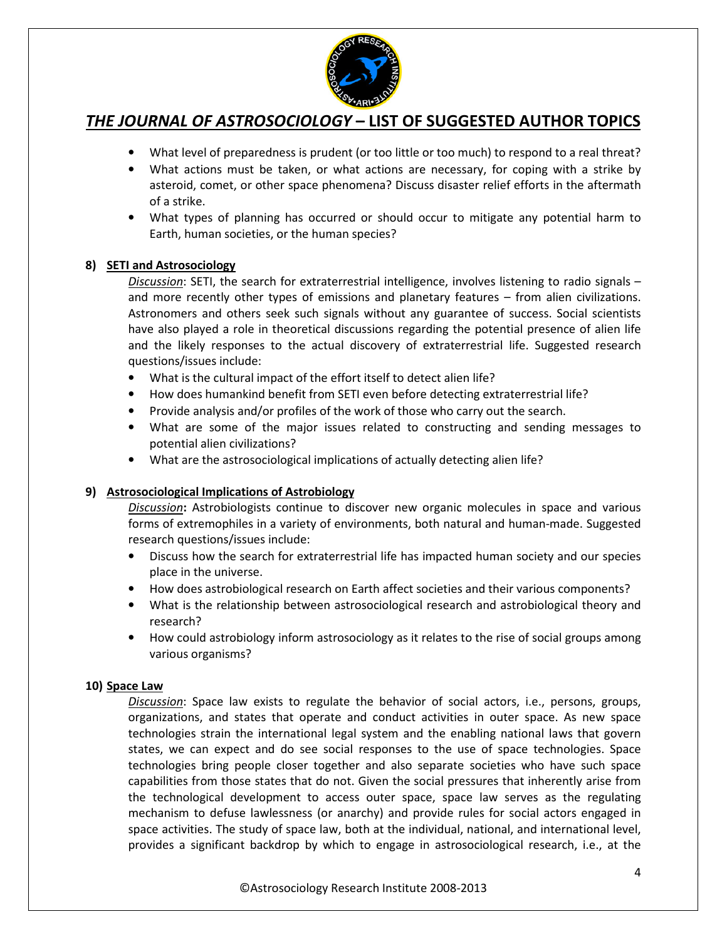

- What level of preparedness is prudent (or too little or too much) to respond to a real threat?
- What actions must be taken, or what actions are necessary, for coping with a strike by asteroid, comet, or other space phenomena? Discuss disaster relief efforts in the aftermath of a strike.
- What types of planning has occurred or should occur to mitigate any potential harm to Earth, human societies, or the human species?

#### **8) SETI and Astrosociology**

*Discussion*: SETI, the search for extraterrestrial intelligence, involves listening to radio signals – and more recently other types of emissions and planetary features – from alien civilizations. Astronomers and others seek such signals without any guarantee of success. Social scientists have also played a role in theoretical discussions regarding the potential presence of alien life and the likely responses to the actual discovery of extraterrestrial life. Suggested research questions/issues include:

- What is the cultural impact of the effort itself to detect alien life?
- How does humankind benefit from SETI even before detecting extraterrestrial life?
- Provide analysis and/or profiles of the work of those who carry out the search.
- What are some of the major issues related to constructing and sending messages to potential alien civilizations?
- What are the astrosociological implications of actually detecting alien life?

#### **9) Astrosociological Implications of Astrobiology**

*Discussion***:** Astrobiologists continue to discover new organic molecules in space and various forms of extremophiles in a variety of environments, both natural and human-made. Suggested research questions/issues include:

- Discuss how the search for extraterrestrial life has impacted human society and our species place in the universe.
- How does astrobiological research on Earth affect societies and their various components?
- What is the relationship between astrosociological research and astrobiological theory and research?
- How could astrobiology inform astrosociology as it relates to the rise of social groups among various organisms?

#### **10) Space Law**

*Discussion*: Space law exists to regulate the behavior of social actors, i.e., persons, groups, organizations, and states that operate and conduct activities in outer space. As new space technologies strain the international legal system and the enabling national laws that govern states, we can expect and do see social responses to the use of space technologies. Space technologies bring people closer together and also separate societies who have such space capabilities from those states that do not. Given the social pressures that inherently arise from the technological development to access outer space, space law serves as the regulating mechanism to defuse lawlessness (or anarchy) and provide rules for social actors engaged in space activities. The study of space law, both at the individual, national, and international level, provides a significant backdrop by which to engage in astrosociological research, i.e., at the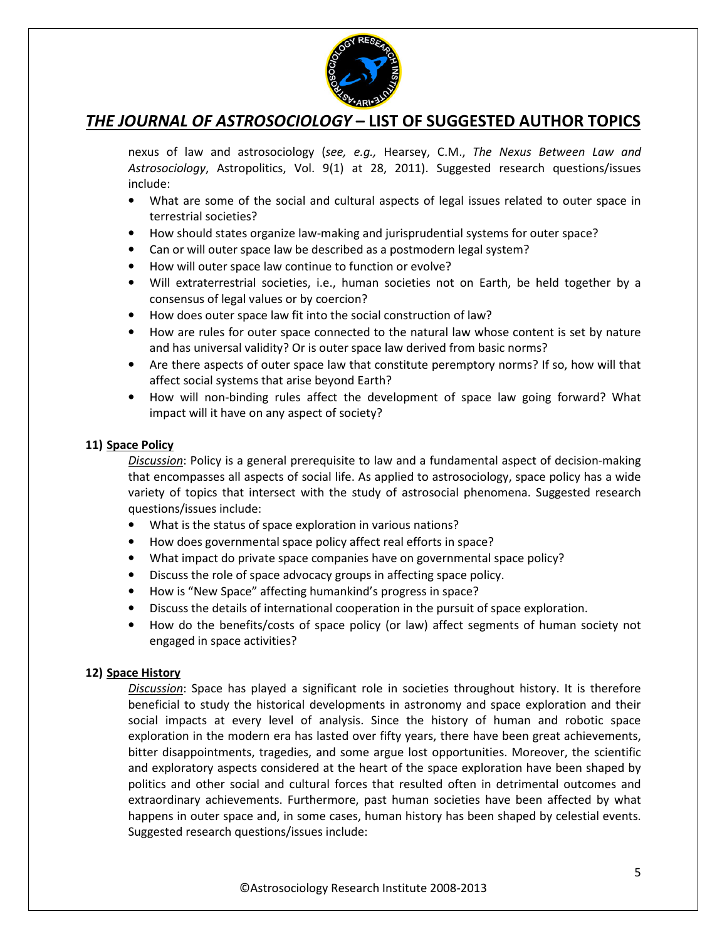

nexus of law and astrosociology (*see, e.g.,* Hearsey, C.M., *The Nexus Between Law and Astrosociology*, Astropolitics, Vol. 9(1) at 28, 2011). Suggested research questions/issues include:

- What are some of the social and cultural aspects of legal issues related to outer space in terrestrial societies?
- How should states organize law-making and jurisprudential systems for outer space?
- Can or will outer space law be described as a postmodern legal system?
- How will outer space law continue to function or evolve?
- Will extraterrestrial societies, i.e., human societies not on Earth, be held together by a consensus of legal values or by coercion?
- How does outer space law fit into the social construction of law?
- How are rules for outer space connected to the natural law whose content is set by nature and has universal validity? Or is outer space law derived from basic norms?
- Are there aspects of outer space law that constitute peremptory norms? If so, how will that affect social systems that arise beyond Earth?
- How will non-binding rules affect the development of space law going forward? What impact will it have on any aspect of society?

#### **11) Space Policy**

*Discussion*: Policy is a general prerequisite to law and a fundamental aspect of decision-making that encompasses all aspects of social life. As applied to astrosociology, space policy has a wide variety of topics that intersect with the study of astrosocial phenomena. Suggested research questions/issues include:

- What is the status of space exploration in various nations?
- How does governmental space policy affect real efforts in space?
- What impact do private space companies have on governmental space policy?
- Discuss the role of space advocacy groups in affecting space policy.
- How is "New Space" affecting humankind's progress in space?
- Discuss the details of international cooperation in the pursuit of space exploration.
- How do the benefits/costs of space policy (or law) affect segments of human society not engaged in space activities?

#### **12) Space History**

*Discussion*: Space has played a significant role in societies throughout history. It is therefore beneficial to study the historical developments in astronomy and space exploration and their social impacts at every level of analysis. Since the history of human and robotic space exploration in the modern era has lasted over fifty years, there have been great achievements, bitter disappointments, tragedies, and some argue lost opportunities. Moreover, the scientific and exploratory aspects considered at the heart of the space exploration have been shaped by politics and other social and cultural forces that resulted often in detrimental outcomes and extraordinary achievements. Furthermore, past human societies have been affected by what happens in outer space and, in some cases, human history has been shaped by celestial events. Suggested research questions/issues include: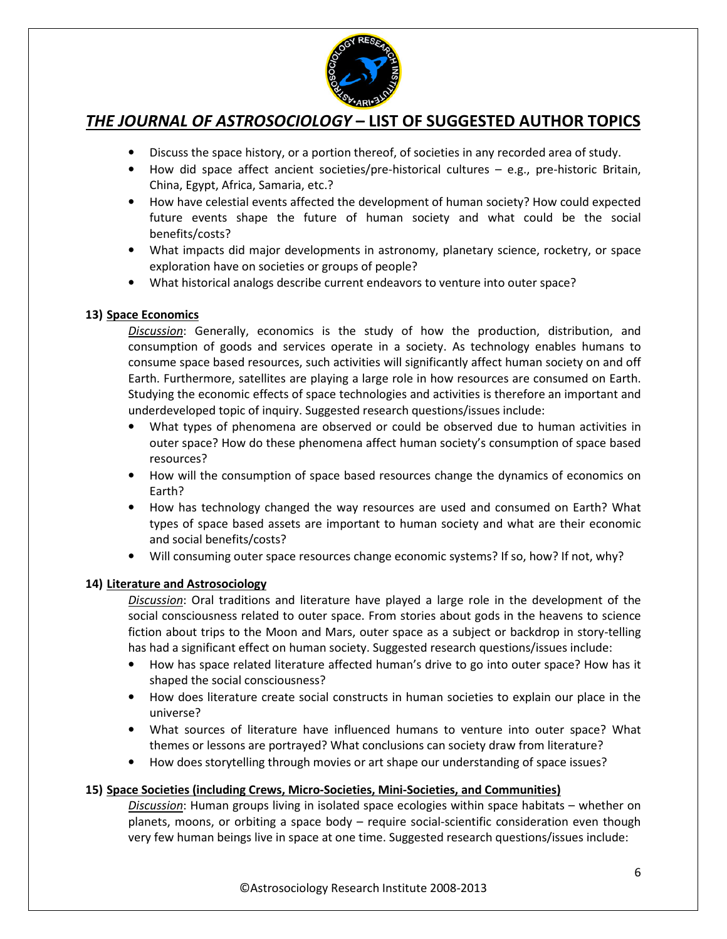

- Discuss the space history, or a portion thereof, of societies in any recorded area of study.
- How did space affect ancient societies/pre-historical cultures e.g., pre-historic Britain, China, Egypt, Africa, Samaria, etc.?
- How have celestial events affected the development of human society? How could expected future events shape the future of human society and what could be the social benefits/costs?
- What impacts did major developments in astronomy, planetary science, rocketry, or space exploration have on societies or groups of people?
- What historical analogs describe current endeavors to venture into outer space?

#### **13) Space Economics**

*Discussion*: Generally, economics is the study of how the production, distribution, and consumption of goods and services operate in a society. As technology enables humans to consume space based resources, such activities will significantly affect human society on and off Earth. Furthermore, satellites are playing a large role in how resources are consumed on Earth. Studying the economic effects of space technologies and activities is therefore an important and underdeveloped topic of inquiry. Suggested research questions/issues include:

- What types of phenomena are observed or could be observed due to human activities in outer space? How do these phenomena affect human society's consumption of space based resources?
- How will the consumption of space based resources change the dynamics of economics on Earth?
- How has technology changed the way resources are used and consumed on Earth? What types of space based assets are important to human society and what are their economic and social benefits/costs?
- Will consuming outer space resources change economic systems? If so, how? If not, why?

### **14) Literature and Astrosociology**

*Discussion*: Oral traditions and literature have played a large role in the development of the social consciousness related to outer space. From stories about gods in the heavens to science fiction about trips to the Moon and Mars, outer space as a subject or backdrop in story-telling has had a significant effect on human society. Suggested research questions/issues include:

- How has space related literature affected human's drive to go into outer space? How has it shaped the social consciousness?
- How does literature create social constructs in human societies to explain our place in the universe?
- What sources of literature have influenced humans to venture into outer space? What themes or lessons are portrayed? What conclusions can society draw from literature?
- How does storytelling through movies or art shape our understanding of space issues?

#### **15) Space Societies (including Crews, Micro-Societies, Mini-Societies, and Communities)**

*Discussion*: Human groups living in isolated space ecologies within space habitats – whether on planets, moons, or orbiting a space body – require social-scientific consideration even though very few human beings live in space at one time. Suggested research questions/issues include: